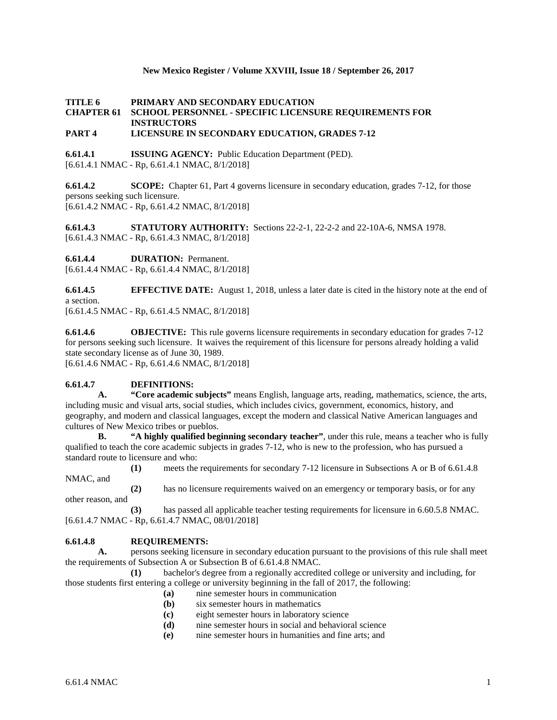### **New Mexico Register / Volume XXVIII, Issue 18 / September 26, 2017**

# **TITLE 6 PRIMARY AND SECONDARY EDUCATION CHAPTER 61 SCHOOL PERSONNEL - SPECIFIC LICENSURE REQUIREMENTS FOR INSTRUCTORS**

## **PART 4 LICENSURE IN SECONDARY EDUCATION, GRADES 7-12**

**6.61.4.1 ISSUING AGENCY:** Public Education Department (PED). [6.61.4.1 NMAC - Rp, 6.61.4.1 NMAC, 8/1/2018]

**6.61.4.2 SCOPE:** Chapter 61, Part 4 governs licensure in secondary education, grades 7-12, for those persons seeking such licensure. [6.61.4.2 NMAC - Rp, 6.61.4.2 NMAC, 8/1/2018]

**6.61.4.3 STATUTORY AUTHORITY:** Sections 22-2-1, 22-2-2 and 22-10A-6, NMSA 1978. [6.61.4.3 NMAC - Rp, 6.61.4.3 NMAC, 8/1/2018]

**6.61.4.4 DURATION:** Permanent.

[6.61.4.4 NMAC - Rp, 6.61.4.4 NMAC, 8/1/2018]

**6.61.4.5 EFFECTIVE DATE:** August 1, 2018, unless a later date is cited in the history note at the end of a section.

[6.61.4.5 NMAC - Rp, 6.61.4.5 NMAC, 8/1/2018]

**6.61.4.6 OBJECTIVE:** This rule governs licensure requirements in secondary education for grades 7-12 for persons seeking such licensure. It waives the requirement of this licensure for persons already holding a valid state secondary license as of June 30, 1989. [6.61.4.6 NMAC - Rp, 6.61.4.6 NMAC, 8/1/2018]

## **6.61.4.7 DEFINITIONS:**

**A. "Core academic subjects"** means English, language arts, reading, mathematics, science, the arts, including music and visual arts, social studies, which includes civics, government, economics, history, and geography, and modern and classical languages, except the modern and classical Native American languages and cultures of New Mexico tribes or pueblos.

**B. "A highly qualified beginning secondary teacher"**, under this rule, means a teacher who is fully qualified to teach the core academic subjects in grades 7-12, who is new to the profession, who has pursued a standard route to licensure and who:

**(1)** meets the requirements for secondary 7-12 licensure in Subsections A or B of 6.61.4.8 NMAC, and

**(2)** has no licensure requirements waived on an emergency or temporary basis, or for any other reason, and

**(3)** has passed all applicable teacher testing requirements for licensure in 6.60.5.8 NMAC. [6.61.4.7 NMAC - Rp, 6.61.4.7 NMAC, 08/01/2018]

## **6.61.4.8 REQUIREMENTS:**

**A.** persons seeking licensure in secondary education pursuant to the provisions of this rule shall meet the requirements of Subsection A or Subsection B of 6.61.4.8 NMAC.

**(1)** bachelor's degree from a regionally accredited college or university and including, for those students first entering a college or university beginning in the fall of 2017, the following:

- **(a)** nine semester hours in communication
- **(b)** six semester hours in mathematics
- **(c)** eight semester hours in laboratory science
- **(d)** nine semester hours in social and behavioral science
- **(e)** nine semester hours in humanities and fine arts; and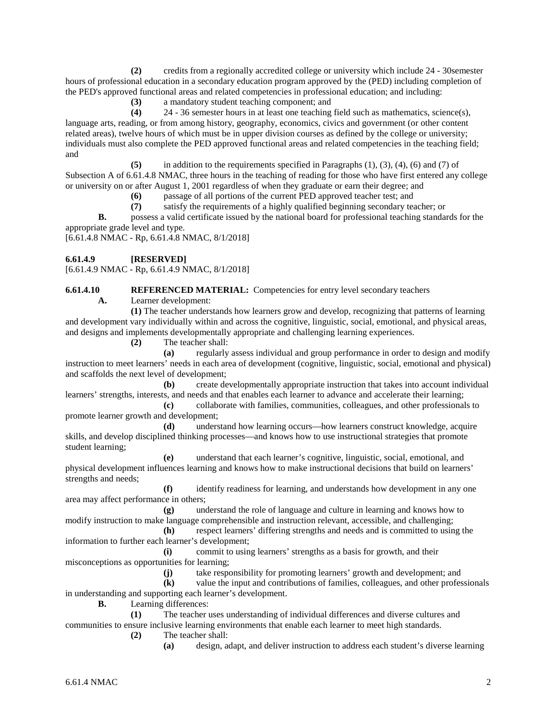**(2)** credits from a regionally accredited college or university which include 24 - 30semester hours of professional education in a secondary education program approved by the (PED) including completion of the PED's approved functional areas and related competencies in professional education; and including:

**(3)** a mandatory student teaching component; and

**(4)** 24 - 36 semester hours in at least one teaching field such as mathematics, science(s), language arts, reading, or from among history, geography, economics, civics and government (or other content related areas), twelve hours of which must be in upper division courses as defined by the college or university; individuals must also complete the PED approved functional areas and related competencies in the teaching field; and

**(5)** in addition to the requirements specified in Paragraphs (1), (3), (4), (6) and (7) of Subsection A of 6.61.4.8 NMAC, three hours in the teaching of reading for those who have first entered any college or university on or after August 1, 2001 regardless of when they graduate or earn their degree; and

**(6)** passage of all portions of the current PED approved teacher test; and

**(7)** satisfy the requirements of a highly qualified beginning secondary teacher; or

**B.** possess a valid certificate issued by the national board for professional teaching standards for the appropriate grade level and type.

[6.61.4.8 NMAC - Rp, 6.61.4.8 NMAC, 8/1/2018]

**6.61.4.9 [RESERVED]**

[6.61.4.9 NMAC - Rp, 6.61.4.9 NMAC, 8/1/2018]

**6.61.4.10 REFERENCED MATERIAL:** Competencies for entry level secondary teachers

**A.** Learner development:

**(1)** The teacher understands how learners grow and develop, recognizing that patterns of learning and development vary individually within and across the cognitive, linguistic, social, emotional, and physical areas, and designs and implements developmentally appropriate and challenging learning experiences.

**(2)** The teacher shall:

**(a)** regularly assess individual and group performance in order to design and modify instruction to meet learners' needs in each area of development (cognitive, linguistic, social, emotional and physical) and scaffolds the next level of development;

**(b)** create developmentally appropriate instruction that takes into account individual learners' strengths, interests, and needs and that enables each learner to advance and accelerate their learning;

**(c)** collaborate with families, communities, colleagues, and other professionals to promote learner growth and development;

**(d)** understand how learning occurs—how learners construct knowledge, acquire skills, and develop disciplined thinking processes—and knows how to use instructional strategies that promote student learning;

**(e)** understand that each learner's cognitive, linguistic, social, emotional, and physical development influences learning and knows how to make instructional decisions that build on learners' strengths and needs;

**(f)** identify readiness for learning, and understands how development in any one area may affect performance in others;

**(g)** understand the role of language and culture in learning and knows how to modify instruction to make language comprehensible and instruction relevant, accessible, and challenging;

**(h)** respect learners' differing strengths and needs and is committed to using the information to further each learner's development;

**(i)** commit to using learners' strengths as a basis for growth, and their misconceptions as opportunities for learning;

**(j)** take responsibility for promoting learners' growth and development; and

**(k)** value the input and contributions of families, colleagues, and other professionals in understanding and supporting each learner's development.

**B.** Learning differences:

**(1)** The teacher uses understanding of individual differences and diverse cultures and communities to ensure inclusive learning environments that enable each learner to meet high standards.

**(2)** The teacher shall:

**(a)** design, adapt, and deliver instruction to address each student's diverse learning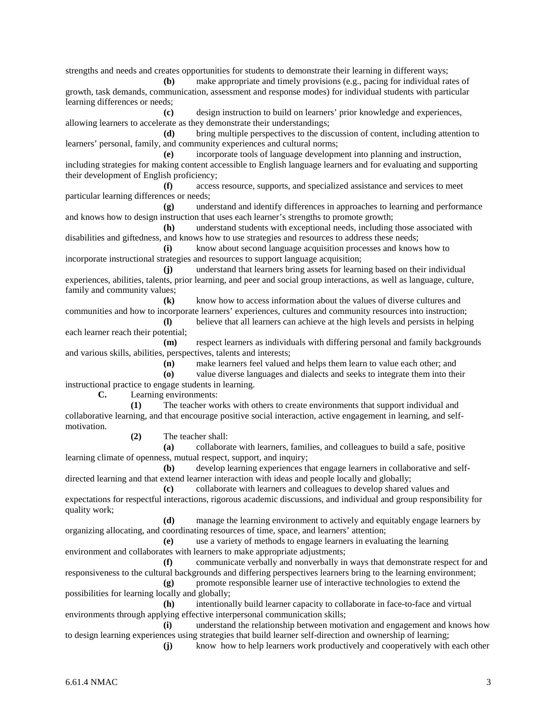strengths and needs and creates opportunities for students to demonstrate their learning in different ways;

**(b)** make appropriate and timely provisions (e.g., pacing for individual rates of growth, task demands, communication, assessment and response modes) for individual students with particular learning differences or needs;

**(c)** design instruction to build on learners' prior knowledge and experiences, allowing learners to accelerate as they demonstrate their understandings;

**(d)** bring multiple perspectives to the discussion of content, including attention to learners' personal, family, and community experiences and cultural norms;

**(e)** incorporate tools of language development into planning and instruction, including strategies for making content accessible to English language learners and for evaluating and supporting their development of English proficiency;

**(f)** access resource, supports, and specialized assistance and services to meet particular learning differences or needs;

**(g)** understand and identify differences in approaches to learning and performance and knows how to design instruction that uses each learner's strengths to promote growth;

**(h)** understand students with exceptional needs, including those associated with disabilities and giftedness, and knows how to use strategies and resources to address these needs;

**(i)** know about second language acquisition processes and knows how to incorporate instructional strategies and resources to support language acquisition;

**(j)** understand that learners bring assets for learning based on their individual experiences, abilities, talents, prior learning, and peer and social group interactions, as well as language, culture, family and community values;

**(k)** know how to access information about the values of diverse cultures and communities and how to incorporate learners' experiences, cultures and community resources into instruction;

**(l)** believe that all learners can achieve at the high levels and persists in helping each learner reach their potential;

**(m)** respect learners as individuals with differing personal and family backgrounds and various skills, abilities, perspectives, talents and interests;

**(n)** make learners feel valued and helps them learn to value each other; and

**(o)** value diverse languages and dialects and seeks to integrate them into their instructional practice to engage students in learning.

**C.** Learning environments:

**(1)** The teacher works with others to create environments that support individual and collaborative learning, and that encourage positive social interaction, active engagement in learning, and selfmotivation.

**(2)** The teacher shall:

**(a)** collaborate with learners, families, and colleagues to build a safe, positive learning climate of openness, mutual respect, support, and inquiry;

**(b)** develop learning experiences that engage learners in collaborative and selfdirected learning and that extend learner interaction with ideas and people locally and globally;

**(c)** collaborate with learners and colleagues to develop shared values and expectations for respectful interactions, rigorous academic discussions, and individual and group responsibility for quality work;

**(d)** manage the learning environment to actively and equitably engage learners by organizing allocating, and coordinating resources of time, space, and learners' attention;

**(e)** use a variety of methods to engage learners in evaluating the learning environment and collaborates with learners to make appropriate adjustments;

**(f)** communicate verbally and nonverbally in ways that demonstrate respect for and responsiveness to the cultural backgrounds and differing perspectives learners bring to the learning environment;

**(g)** promote responsible learner use of interactive technologies to extend the possibilities for learning locally and globally;

**(h)** intentionally build learner capacity to collaborate in face-to-face and virtual environments through applying effective interpersonal communication skills;

**(i)** understand the relationship between motivation and engagement and knows how to design learning experiences using strategies that build learner self-direction and ownership of learning;

**(j)** know how to help learners work productively and cooperatively with each other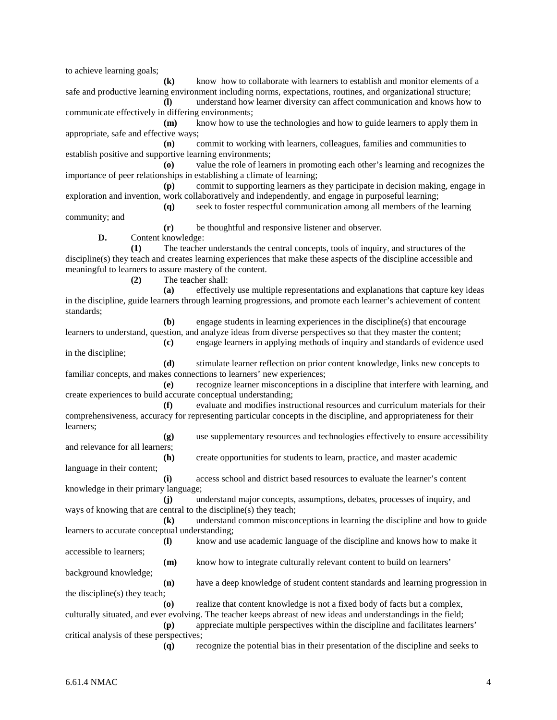to achieve learning goals;

**(k)** know how to collaborate with learners to establish and monitor elements of a safe and productive learning environment including norms, expectations, routines, and organizational structure; **(l)** understand how learner diversity can affect communication and knows how to communicate effectively in differing environments; **(m)** know how to use the technologies and how to guide learners to apply them in appropriate, safe and effective ways; **(n)** commit to working with learners, colleagues, families and communities to establish positive and supportive learning environments; **(o)** value the role of learners in promoting each other's learning and recognizes the importance of peer relationships in establishing a climate of learning; **(p)** commit to supporting learners as they participate in decision making, engage in exploration and invention, work collaboratively and independently, and engage in purposeful learning; **(q)** seek to foster respectful communication among all members of the learning community; and **(r)** be thoughtful and responsive listener and observer. **D.** Content knowledge: **(1)** The teacher understands the central concepts, tools of inquiry, and structures of the discipline(s) they teach and creates learning experiences that make these aspects of the discipline accessible and meaningful to learners to assure mastery of the content. **(2)** The teacher shall: **(a)** effectively use multiple representations and explanations that capture key ideas in the discipline, guide learners through learning progressions, and promote each learner's achievement of content standards; **(b)** engage students in learning experiences in the discipline(s) that encourage learners to understand, question, and analyze ideas from diverse perspectives so that they master the content; **(c)** engage learners in applying methods of inquiry and standards of evidence used in the discipline; **(d)** stimulate learner reflection on prior content knowledge, links new concepts to familiar concepts, and makes connections to learners' new experiences; **(e)** recognize learner misconceptions in a discipline that interfere with learning, and create experiences to build accurate conceptual understanding; **(f)** evaluate and modifies instructional resources and curriculum materials for their comprehensiveness, accuracy for representing particular concepts in the discipline, and appropriateness for their learners; **(g)** use supplementary resources and technologies effectively to ensure accessibility and relevance for all learners; **(h)** create opportunities for students to learn, practice, and master academic language in their content; **(i)** access school and district based resources to evaluate the learner's content knowledge in their primary language; **(j)** understand major concepts, assumptions, debates, processes of inquiry, and ways of knowing that are central to the discipline(s) they teach; **(k)** understand common misconceptions in learning the discipline and how to guide learners to accurate conceptual understanding; **(l)** know and use academic language of the discipline and knows how to make it accessible to learners; **(m)** know how to integrate culturally relevant content to build on learners' background knowledge; **(n)** have a deep knowledge of student content standards and learning progression in the discipline(s) they teach; **(o)** realize that content knowledge is not a fixed body of facts but a complex, culturally situated, and ever evolving. The teacher keeps abreast of new ideas and understandings in the field; **(p)** appreciate multiple perspectives within the discipline and facilitates learners' critical analysis of these perspectives; **(q)** recognize the potential bias in their presentation of the discipline and seeks to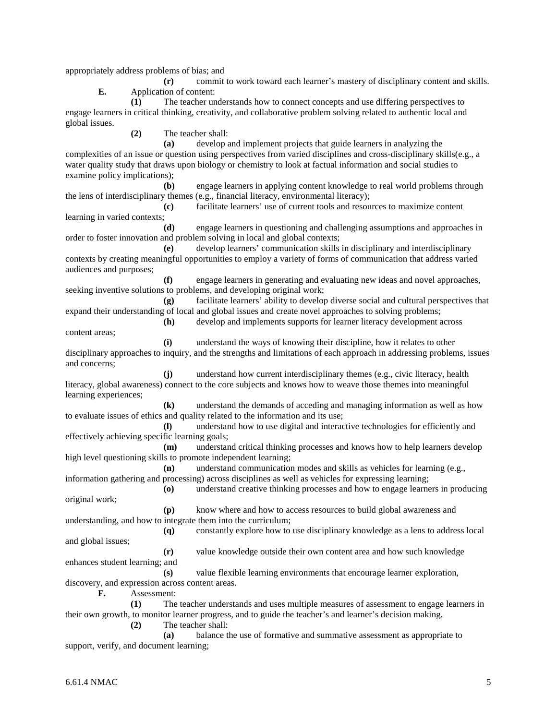appropriately address problems of bias; and

**(r)** commit to work toward each learner's mastery of disciplinary content and skills. **E.** Application of content:

**(1)** The teacher understands how to connect concepts and use differing perspectives to engage learners in critical thinking, creativity, and collaborative problem solving related to authentic local and global issues.

**(2)** The teacher shall:

**(a)** develop and implement projects that guide learners in analyzing the complexities of an issue or question using perspectives from varied disciplines and cross-disciplinary skills(e.g., a water quality study that draws upon biology or chemistry to look at factual information and social studies to examine policy implications);

**(b)** engage learners in applying content knowledge to real world problems through the lens of interdisciplinary themes (e.g., financial literacy, environmental literacy);

**(c)** facilitate learners' use of current tools and resources to maximize content learning in varied contexts;

**(d)** engage learners in questioning and challenging assumptions and approaches in order to foster innovation and problem solving in local and global contexts;

**(e)** develop learners' communication skills in disciplinary and interdisciplinary contexts by creating meaningful opportunities to employ a variety of forms of communication that address varied audiences and purposes;

**(f)** engage learners in generating and evaluating new ideas and novel approaches, seeking inventive solutions to problems, and developing original work;

**(g)** facilitate learners' ability to develop diverse social and cultural perspectives that expand their understanding of local and global issues and create novel approaches to solving problems;

**(h)** develop and implements supports for learner literacy development across

**(i)** understand the ways of knowing their discipline, how it relates to other disciplinary approaches to inquiry, and the strengths and limitations of each approach in addressing problems, issues and concerns;

**(j)** understand how current interdisciplinary themes (e.g., civic literacy, health literacy, global awareness) connect to the core subjects and knows how to weave those themes into meaningful learning experiences;

**(k)** understand the demands of acceding and managing information as well as how to evaluate issues of ethics and quality related to the information and its use;

**(l)** understand how to use digital and interactive technologies for efficiently and effectively achieving specific learning goals;

**(m)** understand critical thinking processes and knows how to help learners develop high level questioning skills to promote independent learning;

**(n)** understand communication modes and skills as vehicles for learning (e.g., information gathering and processing) across disciplines as well as vehicles for expressing learning;

**(o)** understand creative thinking processes and how to engage learners in producing original work;

**(p)** know where and how to access resources to build global awareness and understanding, and how to integrate them into the curriculum;

**(q)** constantly explore how to use disciplinary knowledge as a lens to address local and global issues;

**(r)** value knowledge outside their own content area and how such knowledge enhances student learning; and

**(s)** value flexible learning environments that encourage learner exploration, discovery, and expression across content areas.

**F.** Assessment:

**(1)** The teacher understands and uses multiple measures of assessment to engage learners in their own growth, to monitor learner progress, and to guide the teacher's and learner's decision making. **(2)** The teacher shall:

**(a)** balance the use of formative and summative assessment as appropriate to support, verify, and document learning;

content areas;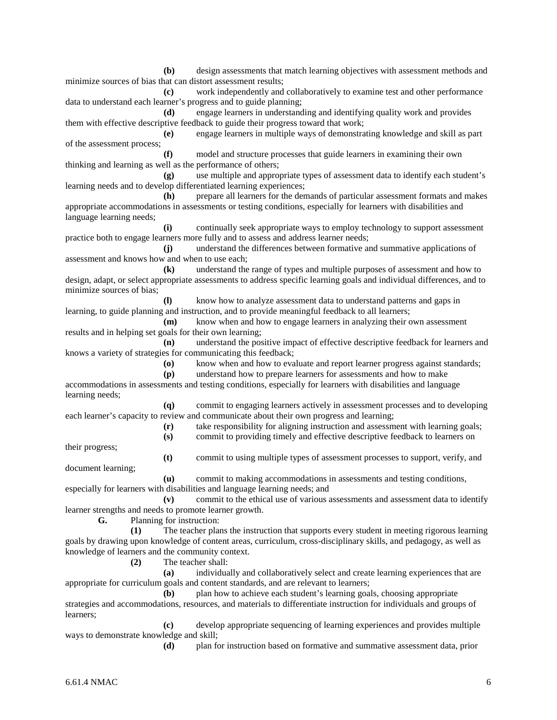**(b)** design assessments that match learning objectives with assessment methods and minimize sources of bias that can distort assessment results;

**(c)** work independently and collaboratively to examine test and other performance data to understand each learner's progress and to guide planning;

**(d)** engage learners in understanding and identifying quality work and provides them with effective descriptive feedback to guide their progress toward that work;

**(e)** engage learners in multiple ways of demonstrating knowledge and skill as part of the assessment process;

**(f)** model and structure processes that guide learners in examining their own thinking and learning as well as the performance of others;

**(g)** use multiple and appropriate types of assessment data to identify each student's learning needs and to develop differentiated learning experiences;

**(h)** prepare all learners for the demands of particular assessment formats and makes appropriate accommodations in assessments or testing conditions, especially for learners with disabilities and language learning needs;

**(i)** continually seek appropriate ways to employ technology to support assessment practice both to engage learners more fully and to assess and address learner needs;

**(j)** understand the differences between formative and summative applications of assessment and knows how and when to use each;

**(k)** understand the range of types and multiple purposes of assessment and how to design, adapt, or select appropriate assessments to address specific learning goals and individual differences, and to minimize sources of bias;

**(l)** know how to analyze assessment data to understand patterns and gaps in learning, to guide planning and instruction, and to provide meaningful feedback to all learners;

**(m)** know when and how to engage learners in analyzing their own assessment results and in helping set goals for their own learning;

**(n)** understand the positive impact of effective descriptive feedback for learners and knows a variety of strategies for communicating this feedback;

**(o)** know when and how to evaluate and report learner progress against standards;

**(p)** understand how to prepare learners for assessments and how to make

accommodations in assessments and testing conditions, especially for learners with disabilities and language learning needs;

**(q)** commit to engaging learners actively in assessment processes and to developing each learner's capacity to review and communicate about their own progress and learning;

**(r)** take responsibility for aligning instruction and assessment with learning goals; **(s)** commit to providing timely and effective descriptive feedback to learners on

their progress;

**(t)** commit to using multiple types of assessment processes to support, verify, and

document learning;

**(u)** commit to making accommodations in assessments and testing conditions, especially for learners with disabilities and language learning needs; and

**(v)** commit to the ethical use of various assessments and assessment data to identify learner strengths and needs to promote learner growth.

**G.** Planning for instruction:

**(1)** The teacher plans the instruction that supports every student in meeting rigorous learning goals by drawing upon knowledge of content areas, curriculum, cross-disciplinary skills, and pedagogy, as well as knowledge of learners and the community context.

**(2)** The teacher shall:

**(a)** individually and collaboratively select and create learning experiences that are appropriate for curriculum goals and content standards, and are relevant to learners;

**(b)** plan how to achieve each student's learning goals, choosing appropriate strategies and accommodations, resources, and materials to differentiate instruction for individuals and groups of learners;

**(c)** develop appropriate sequencing of learning experiences and provides multiple ways to demonstrate knowledge and skill;

**(d)** plan for instruction based on formative and summative assessment data, prior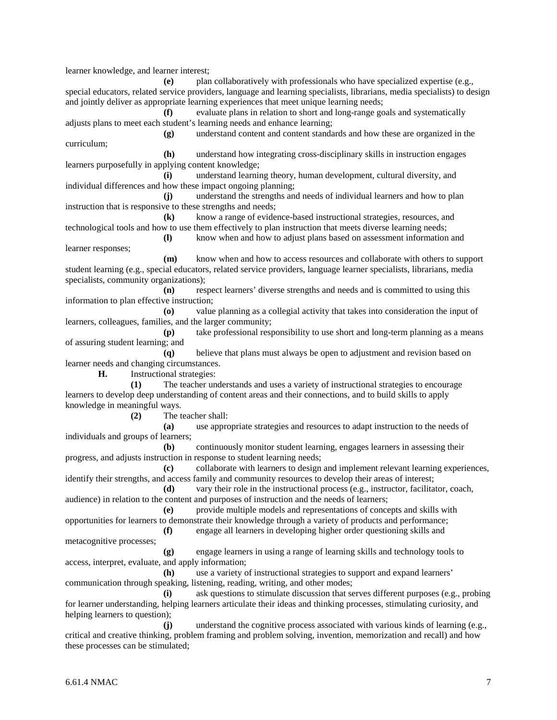learner knowledge, and learner interest;

**(e)** plan collaboratively with professionals who have specialized expertise (e.g., special educators, related service providers, language and learning specialists, librarians, media specialists) to design and jointly deliver as appropriate learning experiences that meet unique learning needs;

**(f)** evaluate plans in relation to short and long-range goals and systematically adjusts plans to meet each student's learning needs and enhance learning;

**(g)** understand content and content standards and how these are organized in the curriculum;

**(h)** understand how integrating cross-disciplinary skills in instruction engages learners purposefully in applying content knowledge;

**(i)** understand learning theory, human development, cultural diversity, and individual differences and how these impact ongoing planning;

**(j)** understand the strengths and needs of individual learners and how to plan instruction that is responsive to these strengths and needs;

**(k)** know a range of evidence-based instructional strategies, resources, and technological tools and how to use them effectively to plan instruction that meets diverse learning needs;

**(l)** know when and how to adjust plans based on assessment information and learner responses;

**(m)** know when and how to access resources and collaborate with others to support student learning (e.g., special educators, related service providers, language learner specialists, librarians, media specialists, community organizations);

**(n)** respect learners' diverse strengths and needs and is committed to using this information to plan effective instruction;

**(o)** value planning as a collegial activity that takes into consideration the input of learners, colleagues, families, and the larger community;

**(p)** take professional responsibility to use short and long-term planning as a means of assuring student learning; and

**(q)** believe that plans must always be open to adjustment and revision based on learner needs and changing circumstances.

**H.** Instructional strategies:

**(1)** The teacher understands and uses a variety of instructional strategies to encourage learners to develop deep understanding of content areas and their connections, and to build skills to apply knowledge in meaningful ways.

**(2)** The teacher shall:

**(a)** use appropriate strategies and resources to adapt instruction to the needs of individuals and groups of learners;

**(b)** continuously monitor student learning, engages learners in assessing their progress, and adjusts instruction in response to student learning needs;

**(c)** collaborate with learners to design and implement relevant learning experiences, identify their strengths, and access family and community resources to develop their areas of interest;

**(d)** vary their role in the instructional process (e.g., instructor, facilitator, coach, audience) in relation to the content and purposes of instruction and the needs of learners;

**(e)** provide multiple models and representations of concepts and skills with opportunities for learners to demonstrate their knowledge through a variety of products and performance;

**(f)** engage all learners in developing higher order questioning skills and metacognitive processes;

**(g)** engage learners in using a range of learning skills and technology tools to access, interpret, evaluate, and apply information;

**(h)** use a variety of instructional strategies to support and expand learners' communication through speaking, listening, reading, writing, and other modes;

**(i)** ask questions to stimulate discussion that serves different purposes (e.g., probing for learner understanding, helping learners articulate their ideas and thinking processes, stimulating curiosity, and helping learners to question);

**(j)** understand the cognitive process associated with various kinds of learning (e.g., critical and creative thinking, problem framing and problem solving, invention, memorization and recall) and how these processes can be stimulated;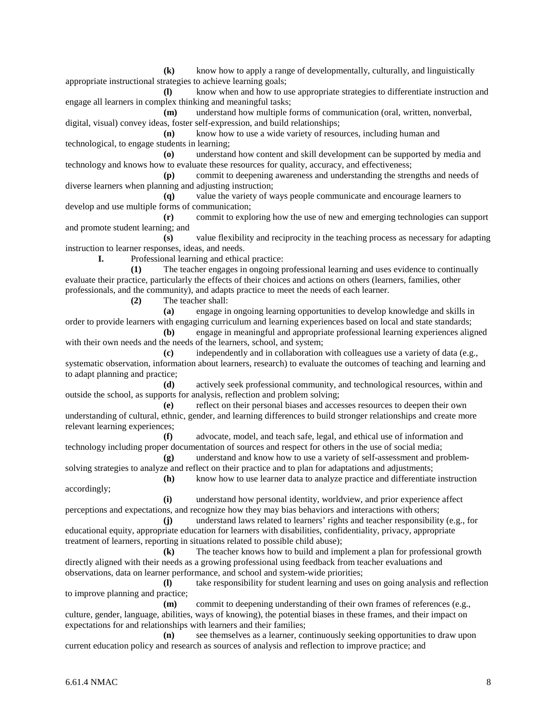**(k)** know how to apply a range of developmentally, culturally, and linguistically appropriate instructional strategies to achieve learning goals;

**(l)** know when and how to use appropriate strategies to differentiate instruction and engage all learners in complex thinking and meaningful tasks;

**(m)** understand how multiple forms of communication (oral, written, nonverbal, digital, visual) convey ideas, foster self-expression, and build relationships;

**(n)** know how to use a wide variety of resources, including human and technological, to engage students in learning;

**(o)** understand how content and skill development can be supported by media and technology and knows how to evaluate these resources for quality, accuracy, and effectiveness;

**(p)** commit to deepening awareness and understanding the strengths and needs of diverse learners when planning and adjusting instruction;

**(q)** value the variety of ways people communicate and encourage learners to develop and use multiple forms of communication;

**(r)** commit to exploring how the use of new and emerging technologies can support and promote student learning; and

**(s)** value flexibility and reciprocity in the teaching process as necessary for adapting instruction to learner responses, ideas, and needs.

**I.** Professional learning and ethical practice:

**(1)** The teacher engages in ongoing professional learning and uses evidence to continually evaluate their practice, particularly the effects of their choices and actions on others (learners, families, other professionals, and the community), and adapts practice to meet the needs of each learner.

**(2)** The teacher shall:

**(a)** engage in ongoing learning opportunities to develop knowledge and skills in order to provide learners with engaging curriculum and learning experiences based on local and state standards;

**(b)** engage in meaningful and appropriate professional learning experiences aligned with their own needs and the needs of the learners, school, and system;

**(c)** independently and in collaboration with colleagues use a variety of data (e.g., systematic observation, information about learners, research) to evaluate the outcomes of teaching and learning and to adapt planning and practice;

**(d)** actively seek professional community, and technological resources, within and outside the school, as supports for analysis, reflection and problem solving;

**(e)** reflect on their personal biases and accesses resources to deepen their own understanding of cultural, ethnic, gender, and learning differences to build stronger relationships and create more relevant learning experiences;

**(f)** advocate, model, and teach safe, legal, and ethical use of information and technology including proper documentation of sources and respect for others in the use of social media;

**(g)** understand and know how to use a variety of self-assessment and problemsolving strategies to analyze and reflect on their practice and to plan for adaptations and adjustments;

**(h)** know how to use learner data to analyze practice and differentiate instruction accordingly;

**(i)** understand how personal identity, worldview, and prior experience affect perceptions and expectations, and recognize how they may bias behaviors and interactions with others;

**(j)** understand laws related to learners' rights and teacher responsibility (e.g., for educational equity, appropriate education for learners with disabilities, confidentiality, privacy, appropriate treatment of learners, reporting in situations related to possible child abuse);

**(k)** The teacher knows how to build and implement a plan for professional growth directly aligned with their needs as a growing professional using feedback from teacher evaluations and observations, data on learner performance, and school and system-wide priorities;

**(l)** take responsibility for student learning and uses on going analysis and reflection to improve planning and practice;

**(m)** commit to deepening understanding of their own frames of references (e.g., culture, gender, language, abilities, ways of knowing), the potential biases in these frames, and their impact on expectations for and relationships with learners and their families;<br>(n) see themselves as a learner. co

see themselves as a learner, continuously seeking opportunities to draw upon current education policy and research as sources of analysis and reflection to improve practice; and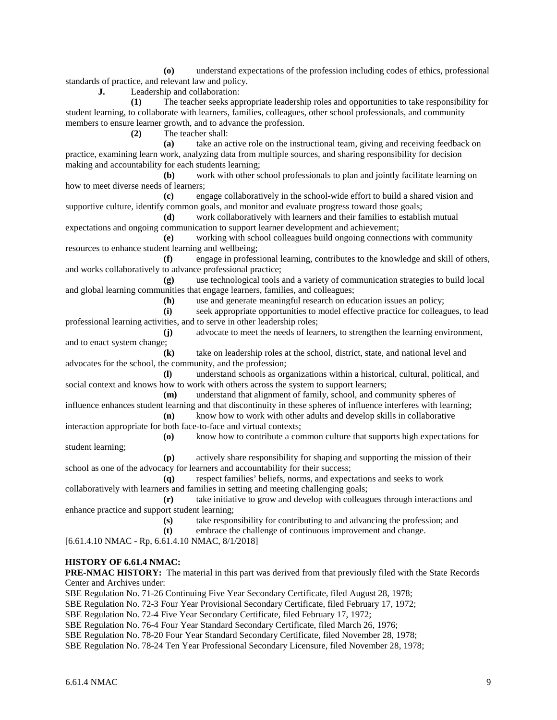**(o)** understand expectations of the profession including codes of ethics, professional standards of practice, and relevant law and policy.

**J.** Leadership and collaboration:

**(1)** The teacher seeks appropriate leadership roles and opportunities to take responsibility for student learning, to collaborate with learners, families, colleagues, other school professionals, and community members to ensure learner growth, and to advance the profession.

**(2)** The teacher shall:

**(a)** take an active role on the instructional team, giving and receiving feedback on practice, examining learn work, analyzing data from multiple sources, and sharing responsibility for decision making and accountability for each students learning;

**(b)** work with other school professionals to plan and jointly facilitate learning on how to meet diverse needs of learners;

**(c)** engage collaboratively in the school-wide effort to build a shared vision and supportive culture, identify common goals, and monitor and evaluate progress toward those goals;

**(d)** work collaboratively with learners and their families to establish mutual expectations and ongoing communication to support learner development and achievement;

**(e)** working with school colleagues build ongoing connections with community resources to enhance student learning and wellbeing;

**(f)** engage in professional learning, contributes to the knowledge and skill of others, and works collaboratively to advance professional practice;

**(g)** use technological tools and a variety of communication strategies to build local and global learning communities that engage learners, families, and colleagues;

**(h)** use and generate meaningful research on education issues an policy;

**(i)** seek appropriate opportunities to model effective practice for colleagues, to lead professional learning activities, and to serve in other leadership roles;

**(j)** advocate to meet the needs of learners, to strengthen the learning environment, and to enact system change;

**(k)** take on leadership roles at the school, district, state, and national level and advocates for the school, the community, and the profession;

**(l)** understand schools as organizations within a historical, cultural, political, and social context and knows how to work with others across the system to support learners;

**(m)** understand that alignment of family, school, and community spheres of influence enhances student learning and that discontinuity in these spheres of influence interferes with learning; **(n)** know how to work with other adults and develop skills in collaborative

interaction appropriate for both face-to-face and virtual contexts;

**(o)** know how to contribute a common culture that supports high expectations for student learning;

**(p)** actively share responsibility for shaping and supporting the mission of their school as one of the advocacy for learners and accountability for their success;

**(q)** respect families' beliefs, norms, and expectations and seeks to work collaboratively with learners and families in setting and meeting challenging goals;

**(r)** take initiative to grow and develop with colleagues through interactions and enhance practice and support student learning;

**(s)** take responsibility for contributing to and advancing the profession; and

**(t)** embrace the challenge of continuous improvement and change.

[6.61.4.10 NMAC - Rp, 6.61.4.10 NMAC, 8/1/2018]

#### **HISTORY OF 6.61.4 NMAC:**

**PRE-NMAC HISTORY:** The material in this part was derived from that previously filed with the State Records Center and Archives under:

SBE Regulation No. 71-26 Continuing Five Year Secondary Certificate, filed August 28, 1978;

SBE Regulation No. 72-3 Four Year Provisional Secondary Certificate, filed February 17, 1972;

SBE Regulation No. 72-4 Five Year Secondary Certificate, filed February 17, 1972;

SBE Regulation No. 76-4 Four Year Standard Secondary Certificate, filed March 26, 1976;

SBE Regulation No. 78-20 Four Year Standard Secondary Certificate, filed November 28, 1978;

SBE Regulation No. 78-24 Ten Year Professional Secondary Licensure, filed November 28, 1978;